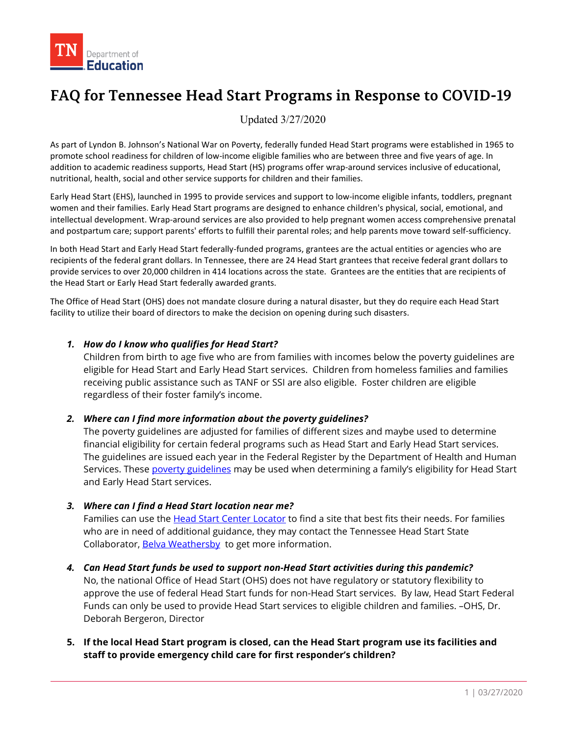

# **FAQ for Tennessee Head Start Programs in Response to COVID-19**

Updated 3/27/2020

As part of Lyndon B. Johnson's National War on Poverty, federally funded Head Start programs were established in 1965 to promote school readiness for children of low-income eligible families who are between three and five years of age. In addition to academic readiness supports, Head Start (HS) programs offer wrap-around services inclusive of educational, nutritional, health, social and other service supports for children and their families.

Early Head Start (EHS), launched in 1995 to provide services and support to low-income eligible infants, toddlers, pregnant women and their families. Early Head Start programs are designed to enhance children's physical, social, emotional, and intellectual development. Wrap-around services are also provided to help pregnant women access comprehensive prenatal and postpartum care; support parents' efforts to fulfill their parental roles; and help parents move toward self-sufficiency.

In both Head Start and Early Head Start federally-funded programs, grantees are the actual entities or agencies who are recipients of the federal grant dollars. In Tennessee, there are 24 Head Start grantees that receive federal grant dollars to provide services to over 20,000 children in 414 locations across the state. Grantees are the entities that are recipients of the Head Start or Early Head Start federally awarded grants.

The Office of Head Start (OHS) does not mandate closure during a natural disaster, but they do require each Head Start facility to utilize their board of directors to make the decision on opening during such disasters.

#### *1. How do I know who qualifies for Head Start?*

Children from birth to age five who are from families with incomes below the poverty guidelines are eligible for Head Start and Early Head Start services. Children from homeless families and families receiving public assistance such as TANF or SSI are also eligible. Foster children are eligible regardless of their foster family's income.

#### *2. Where can I find more information about the poverty guidelines?*

The poverty guidelines are adjusted for families of different sizes and maybe used to determine financial eligibility for certain federal programs such as Head Start and Early Head Start services. The guidelines are issued each year in the Federal Register by the Department of Health and Human Services. These **poverty guidelines** may be used when determining a family's eligibility for Head Start and Early Head Start services.

#### *3. Where can I find a Head Start location near me?*

Families can use th[e Head Start Center Locator](https://eclkc.ohs.acf.hhs.gov/center-locator) to find a site that best fits their needs. For families who are in need of additional guidance, they may contact the Tennessee Head Start State Collaborator, [Belva Weathersby](mailto:Belva.Weathersby@tn.gov) to get more information.

- *4. Can Head Start funds be used to support non-Head Start activities during this pandemic?* No, the national Office of Head Start (OHS) does not have regulatory or statutory flexibility to approve the use of federal Head Start funds for non-Head Start services. By law, Head Start Federal Funds can only be used to provide Head Start services to eligible children and families. –OHS, Dr. Deborah Bergeron, Director
- **5. If the local Head Start program is closed, can the Head Start program use its facilities and staff to provide emergency child care for first responder's children?**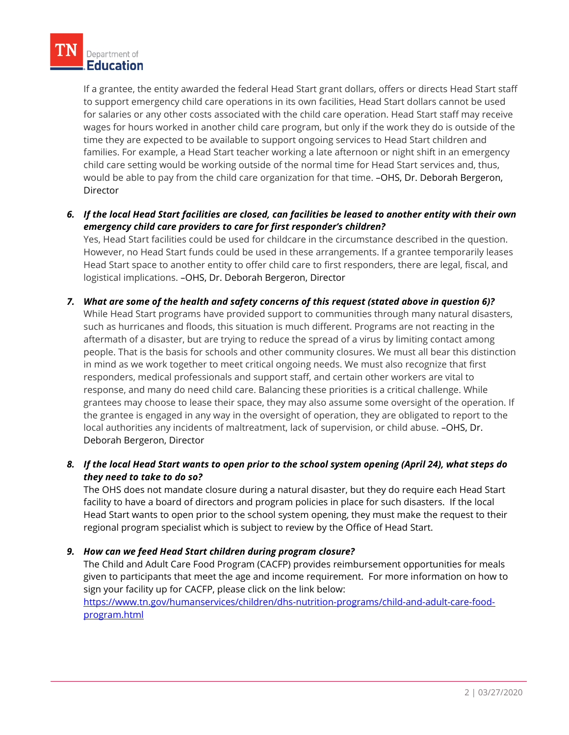If a grantee, the entity awarded the federal Head Start grant dollars, offers or directs Head Start staff to support emergency child care operations in its own facilities, Head Start dollars cannot be used for salaries or any other costs associated with the child care operation. Head Start staff may receive wages for hours worked in another child care program, but only if the work they do is outside of the time they are expected to be available to support ongoing services to Head Start children and families. For example, a Head Start teacher working a late afternoon or night shift in an emergency child care setting would be working outside of the normal time for Head Start services and, thus, would be able to pay from the child care organization for that time. –OHS, Dr. Deborah Bergeron, **Director** 

*6. If the local Head Start facilities are closed, can facilities be leased to another entity with their own emergency child care providers to care for first responder's children?*

Yes, Head Start facilities could be used for childcare in the circumstance described in the question. However, no Head Start funds could be used in these arrangements. If a grantee temporarily leases Head Start space to another entity to offer child care to first responders, there are legal, fiscal, and logistical implications. –OHS, Dr. Deborah Bergeron, Director

*7. What are some of the health and safety concerns of this request (stated above in question 6)?* 

While Head Start programs have provided support to communities through many natural disasters, such as hurricanes and floods, this situation is much different. Programs are not reacting in the aftermath of a disaster, but are trying to reduce the spread of a virus by limiting contact among people. That is the basis for schools and other community closures. We must all bear this distinction in mind as we work together to meet critical ongoing needs. We must also recognize that first responders, medical professionals and support staff, and certain other workers are vital to response, and many do need child care. Balancing these priorities is a critical challenge. While grantees may choose to lease their space, they may also assume some oversight of the operation. If the grantee is engaged in any way in the oversight of operation, they are obligated to report to the local authorities any incidents of maltreatment, lack of supervision, or child abuse. –OHS, Dr. Deborah Bergeron, Director

*8. If the local Head Start wants to open prior to the school system opening (April 24), what steps do they need to take to do so?*

The OHS does not mandate closure during a natural disaster, but they do require each Head Start facility to have a board of directors and program policies in place for such disasters. If the local Head Start wants to open prior to the school system opening, they must make the request to their regional program specialist which is subject to review by the Office of Head Start.

## *9. How can we feed Head Start children during program closure?*

The Child and Adult Care Food Program (CACFP) provides reimbursement opportunities for meals given to participants that meet the age and income requirement. For more information on how to sign your facility up for CACFP, please click on the link below:

[https://www.tn.gov/humanservices/children/dhs-nutrition-programs/child-and-adult-care-food](https://www.tn.gov/humanservices/children/dhs-nutrition-programs/child-and-adult-care-food-program.html)[program.html](https://www.tn.gov/humanservices/children/dhs-nutrition-programs/child-and-adult-care-food-program.html)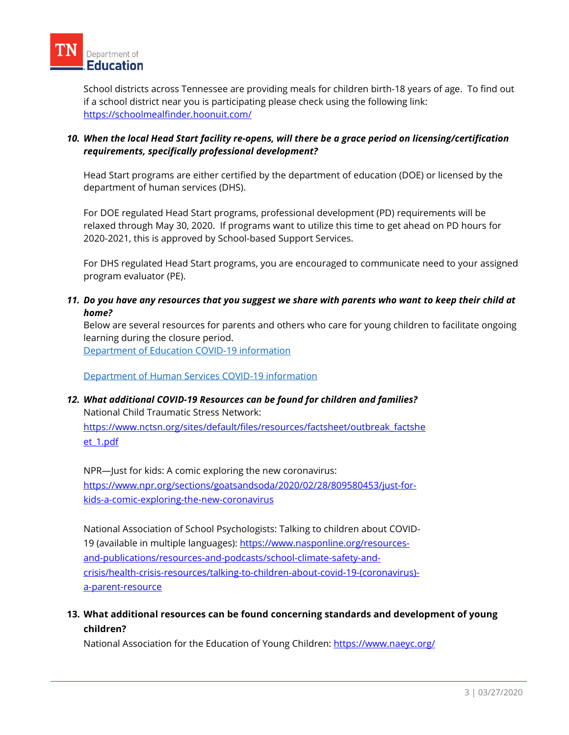School districts across Tennessee are providing meals for children birth-18 years of age. To find out if a school district near you is participating please check using the following link: <https://schoolmealfinder.hoonuit.com/>

# *10. When the local Head Start facility re-opens, will there be a grace period on licensing/certification requirements, specifically professional development?*

Head Start programs are either certified by the department of education (DOE) or licensed by the department of human services (DHS).

For DOE regulated Head Start programs, professional development (PD) requirements will be relaxed through May 30, 2020. If programs want to utilize this time to get ahead on PD hours for 2020-2021, this is approved by School-based Support Services.

For DHS regulated Head Start programs, you are encouraged to communicate need to your assigned program evaluator (PE).

#### *11. Do you have any resources that you suggest we share with parents who want to keep their child at home?*

Below are several resources for parents and others who care for young children to facilitate ongoing learning during the closure period.

[Department of Education COVID-19 information](https://www.tn.gov/education/health-and-safety/update-on-coronavirus.html)

[Department of Human Services COVID-19 information](https://www.tn.gov/humanservices/for-families/child-care-services.html)

# *12. What additional COVID-19 Resources can be found for children and families?*

National Child Traumatic Stress Network: [https://www.nctsn.org/sites/default/files/resources/factsheet/outbreak\\_factshe](https://www.nctsn.org/sites/default/files/resources/factsheet/outbreak_factsheet_1.pdf) [et\\_1.pdf](https://www.nctsn.org/sites/default/files/resources/factsheet/outbreak_factsheet_1.pdf)

NPR—Just for kids: A comic exploring the new coronavirus: [https://www.npr.org/sections/goatsandsoda/2020/02/28/809580453/just-for](https://www.npr.org/sections/goatsandsoda/2020/02/28/809580453/just-for-kids-a-comic-exploring-the-new-coronavirus)[kids-a-comic-exploring-the-new-coronavirus](https://www.npr.org/sections/goatsandsoda/2020/02/28/809580453/just-for-kids-a-comic-exploring-the-new-coronavirus)

National Association of School Psychologists: Talking to children about COVID-19 (available in multiple languages): [https://www.nasponline.org/resources](https://www.nasponline.org/resources-and-publications/resources-and-podcasts/school-climate-safety-and-crisis/health-crisis-resources/talking-to-children-about-covid-19-(coronavirus)-a-parent-resource)[and-publications/resources-and-podcasts/school-climate-safety-and](https://www.nasponline.org/resources-and-publications/resources-and-podcasts/school-climate-safety-and-crisis/health-crisis-resources/talking-to-children-about-covid-19-(coronavirus)-a-parent-resource)[crisis/health-crisis-resources/talking-to-children-about-covid-19-\(coronavirus\)](https://www.nasponline.org/resources-and-publications/resources-and-podcasts/school-climate-safety-and-crisis/health-crisis-resources/talking-to-children-about-covid-19-(coronavirus)-a-parent-resource) [a-parent-resource](https://www.nasponline.org/resources-and-publications/resources-and-podcasts/school-climate-safety-and-crisis/health-crisis-resources/talking-to-children-about-covid-19-(coronavirus)-a-parent-resource)

# **13. What additional resources can be found concerning standards and development of young children?**

National Association for the Education of Young Children:<https://www.naeyc.org/>